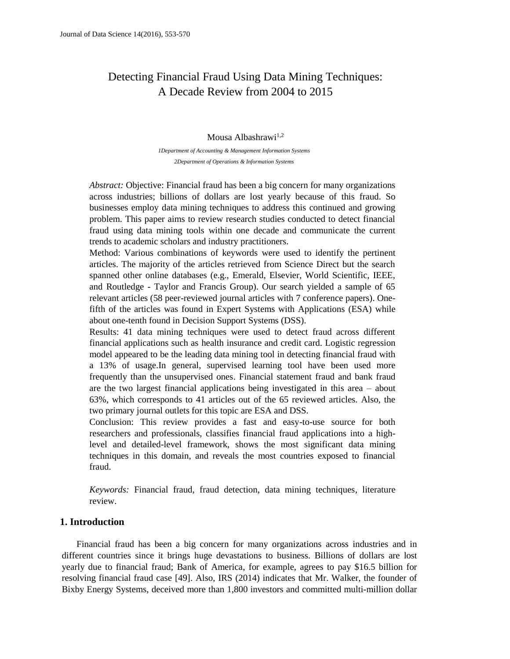# Detecting Financial Fraud Using Data Mining Techniques: A Decade Review from 2004 to 2015

#### Mousa Albashrawi<sup>1,2</sup>

*1Department of Accounting & Management Information Systems 2Department of Operations & Information Systems*

*Abstract:* Objective: Financial fraud has been a big concern for many organizations across industries; billions of dollars are lost yearly because of this fraud. So businesses employ data mining techniques to address this continued and growing problem. This paper aims to review research studies conducted to detect financial fraud using data mining tools within one decade and communicate the current trends to academic scholars and industry practitioners.

Method: Various combinations of keywords were used to identify the pertinent articles. The majority of the articles retrieved from Science Direct but the search spanned other online databases (e.g., Emerald, Elsevier, World Scientific, IEEE, and Routledge - Taylor and Francis Group). Our search yielded a sample of 65 relevant articles (58 peer-reviewed journal articles with 7 conference papers). Onefifth of the articles was found in Expert Systems with Applications (ESA) while about one-tenth found in Decision Support Systems (DSS).

Results: 41 data mining techniques were used to detect fraud across different financial applications such as health insurance and credit card. Logistic regression model appeared to be the leading data mining tool in detecting financial fraud with a 13% of usage.In general, supervised learning tool have been used more frequently than the unsupervised ones. Financial statement fraud and bank fraud are the two largest financial applications being investigated in this area – about 63%, which corresponds to 41 articles out of the 65 reviewed articles. Also, the two primary journal outlets for this topic are ESA and DSS.

Conclusion: This review provides a fast and easy-to-use source for both researchers and professionals, classifies financial fraud applications into a highlevel and detailed-level framework, shows the most significant data mining techniques in this domain, and reveals the most countries exposed to financial fraud.

*Keywords:* Financial fraud, fraud detection, data mining techniques, literature review.

# **1. Introduction**

Financial fraud has been a big concern for many organizations across industries and in different countries since it brings huge devastations to business. Billions of dollars are lost yearly due to financial fraud; Bank of America, for example, agrees to pay \$16.5 billion for resolving financial fraud case [49]. Also, IRS (2014) indicates that Mr. Walker, the founder of Bixby Energy Systems, deceived more than 1,800 investors and committed multi-million dollar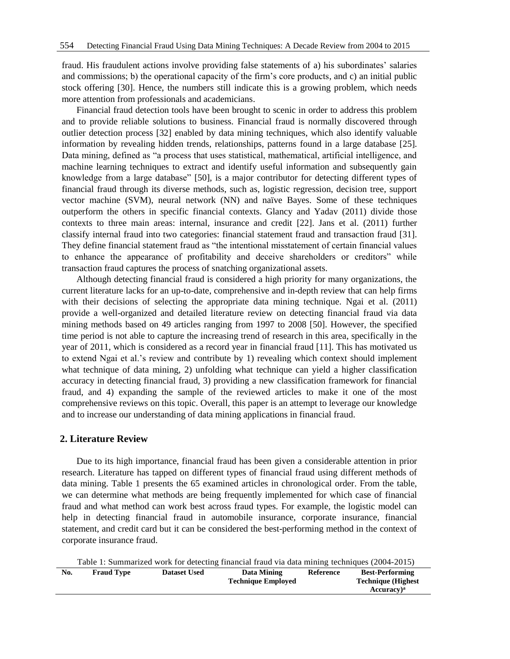fraud. His fraudulent actions involve providing false statements of a) his subordinates' salaries and commissions; b) the operational capacity of the firm's core products, and c) an initial public stock offering [30]. Hence, the numbers still indicate this is a growing problem, which needs more attention from professionals and academicians.

Financial fraud detection tools have been brought to scenic in order to address this problem and to provide reliable solutions to business. Financial fraud is normally discovered through outlier detection process [32] enabled by data mining techniques, which also identify valuable information by revealing hidden trends, relationships, patterns found in a large database [25]. Data mining, defined as "a process that uses statistical, mathematical, artificial intelligence, and machine learning techniques to extract and identify useful information and subsequently gain knowledge from a large database" [50], is a major contributor for detecting different types of financial fraud through its diverse methods, such as, logistic regression, decision tree, support vector machine (SVM), neural network (NN) and naïve Bayes. Some of these techniques outperform the others in specific financial contexts. Glancy and Yadav (2011) divide those contexts to three main areas: internal, insurance and credit [22]. Jans et al. (2011) further classify internal fraud into two categories: financial statement fraud and transaction fraud [31]. They define financial statement fraud as "the intentional misstatement of certain financial values to enhance the appearance of profitability and deceive shareholders or creditors" while transaction fraud captures the process of snatching organizational assets.

Although detecting financial fraud is considered a high priority for many organizations, the current literature lacks for an up-to-date, comprehensive and in-depth review that can help firms with their decisions of selecting the appropriate data mining technique. Ngai et al. (2011) provide a well-organized and detailed literature review on detecting financial fraud via data mining methods based on 49 articles ranging from 1997 to 2008 [50]. However, the specified time period is not able to capture the increasing trend of research in this area, specifically in the year of 2011, which is considered as a record year in financial fraud [11]. This has motivated us to extend Ngai et al.'s review and contribute by 1) revealing which context should implement what technique of data mining, 2) unfolding what technique can yield a higher classification accuracy in detecting financial fraud, 3) providing a new classification framework for financial fraud, and 4) expanding the sample of the reviewed articles to make it one of the most comprehensive reviews on this topic. Overall, this paper is an attempt to leverage our knowledge and to increase our understanding of data mining applications in financial fraud.

#### **2. Literature Review**

Due to its high importance, financial fraud has been given a considerable attention in prior research. Literature has tapped on different types of financial fraud using different methods of data mining. Table 1 presents the 65 examined articles in chronological order. From the table, we can determine what methods are being frequently implemented for which case of financial fraud and what method can work best across fraud types. For example, the logistic model can help in detecting financial fraud in automobile insurance, corporate insurance, financial statement, and credit card but it can be considered the best-performing method in the context of corporate insurance fraud.

Table 1: Summarized work for detecting financial fraud via data mining techniques (2004-2015)

| No. | <b>Fraud Type</b> | <b>Dataset Used</b> | Data Mining               | <b>Reference</b> | <b>Best-Performing</b>     |
|-----|-------------------|---------------------|---------------------------|------------------|----------------------------|
|     |                   |                     | <b>Technique Employed</b> |                  | <b>Technique (Highest)</b> |
|     |                   |                     |                           |                  | Accuracy) <sup>a</sup>     |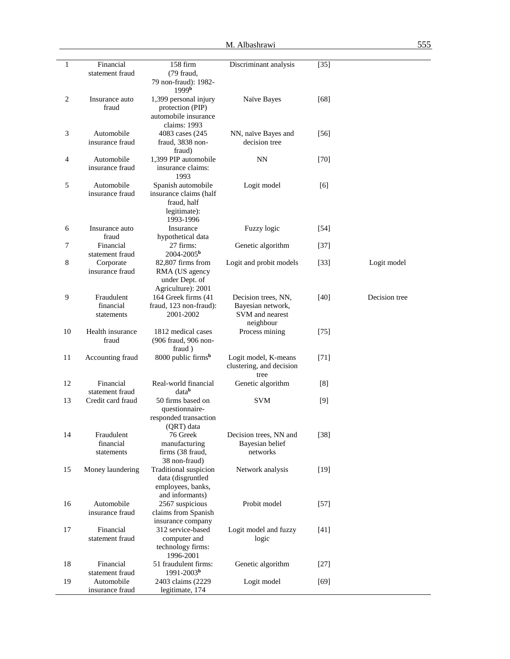| 1              | Financial                     | 158 firm                                  | Discriminant analysis    | $[35]$ |               |
|----------------|-------------------------------|-------------------------------------------|--------------------------|--------|---------------|
|                | statement fraud               | (79 fraud,                                |                          |        |               |
|                |                               | 79 non-fraud): 1982-                      |                          |        |               |
| $\mathbf{2}$   |                               | 1999 <sup>b</sup>                         |                          |        |               |
|                | Insurance auto<br>fraud       | 1,399 personal injury<br>protection (PIP) | Naïve Bayes              | $[68]$ |               |
|                |                               | automobile insurance                      |                          |        |               |
|                |                               | claims: 1993                              |                          |        |               |
| 3              | Automobile                    | 4083 cases (245)                          | NN, naïve Bayes and      | $[56]$ |               |
|                | insurance fraud               | fraud, 3838 non-                          | decision tree            |        |               |
|                |                               | fraud)                                    |                          |        |               |
| $\overline{4}$ | Automobile                    | 1,399 PIP automobile                      | NN                       | $[70]$ |               |
|                | insurance fraud               | insurance claims:                         |                          |        |               |
|                |                               | 1993                                      |                          |        |               |
| 5              | Automobile                    | Spanish automobile                        | Logit model              | [6]    |               |
|                | insurance fraud               | insurance claims (half                    |                          |        |               |
|                |                               | fraud, half                               |                          |        |               |
|                |                               | legitimate):                              |                          |        |               |
| 6              |                               | 1993-1996<br>Insurance                    | Fuzzy logic              |        |               |
|                | Insurance auto<br>fraud       | hypothetical data                         |                          | $[54]$ |               |
| $\overline{7}$ | Financial                     | 27 firms:                                 | Genetic algorithm        | $[37]$ |               |
|                | statement fraud               | 2004-2005 <sup>b</sup>                    |                          |        |               |
| 8              | Corporate                     | 82,807 firms from                         | Logit and probit models  | $[33]$ | Logit model   |
|                | insurance fraud               | RMA (US agency                            |                          |        |               |
|                |                               | under Dept. of                            |                          |        |               |
|                |                               | Agriculture): 2001                        |                          |        |               |
| 9              | Fraudulent                    | 164 Greek firms (41                       | Decision trees, NN,      | $[40]$ | Decision tree |
|                | financial                     | fraud, 123 non-fraud):                    | Bayesian network,        |        |               |
|                | statements                    | 2001-2002                                 | SVM and nearest          |        |               |
|                |                               |                                           | neighbour                |        |               |
| 10             | Health insurance              | 1812 medical cases                        | Process mining           | $[75]$ |               |
|                | fraud                         | (906 fraud, 906 non-                      |                          |        |               |
| 11             | Accounting fraud              | fraud)<br>8000 public firms <sup>b</sup>  | Logit model, K-means     | $[71]$ |               |
|                |                               |                                           | clustering, and decision |        |               |
|                |                               |                                           | tree                     |        |               |
| 12             | Financial                     | Real-world financial                      | Genetic algorithm        | [8]    |               |
|                | statement fraud               | datab                                     |                          |        |               |
| 13             | Credit card fraud             | 50 firms based on                         | <b>SVM</b>               | $[9]$  |               |
|                |                               | questionnaire-                            |                          |        |               |
|                |                               | responded transaction                     |                          |        |               |
|                |                               | (QRT) data                                |                          |        |               |
| 14             | Fraudulent                    | 76 Greek                                  | Decision trees, NN and   | $[38]$ |               |
|                | financial                     | manufacturing                             | Bayesian belief          |        |               |
|                | statements                    | firms (38 fraud,                          | networks                 |        |               |
| 15             |                               | 38 non-fraud)<br>Traditional suspicion    |                          |        |               |
|                | Money laundering              | data (disgruntled                         | Network analysis         | $[19]$ |               |
|                |                               | employees, banks,                         |                          |        |               |
|                |                               | and informants)                           |                          |        |               |
| 16             | Automobile                    | 2567 suspicious                           | Probit model             | $[57]$ |               |
|                | insurance fraud               | claims from Spanish                       |                          |        |               |
|                |                               | insurance company                         |                          |        |               |
| 17             | Financial                     | 312 service-based                         | Logit model and fuzzy    | $[41]$ |               |
|                | statement fraud               | computer and                              | logic                    |        |               |
|                |                               | technology firms:                         |                          |        |               |
|                |                               | 1996-2001                                 |                          |        |               |
| 18             | Financial                     | 51 fraudulent firms:<br>$1991 - 2003b$    | Genetic algorithm        | $[27]$ |               |
| 19             | statement fraud<br>Automobile | 2403 claims (2229                         | Logit model              | $[69]$ |               |
|                | insurance fraud               | legitimate, 174                           |                          |        |               |
|                |                               |                                           |                          |        |               |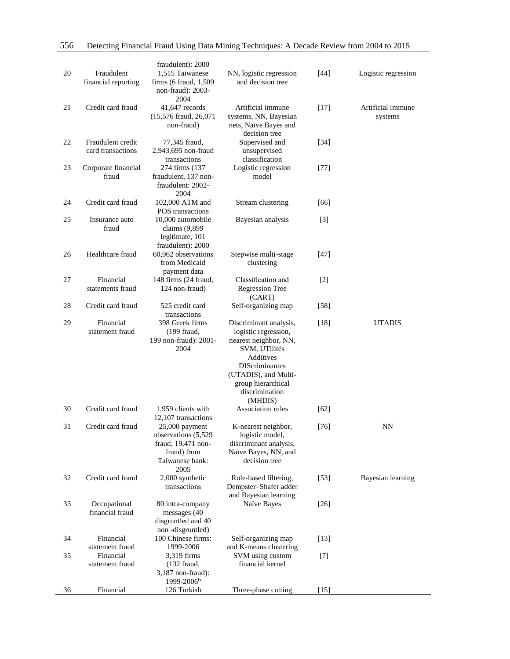| 20 | Fraudulent<br>financial reporting      | fraudulent): 2000<br>1,515 Taiwanese<br>firms (6 fraud, 1,509)<br>non-fraud): 2003-<br>2004             | NN, logistic regression<br>and decision tree                                                                                                                                 | $[44]$            | Logistic regression          |
|----|----------------------------------------|---------------------------------------------------------------------------------------------------------|------------------------------------------------------------------------------------------------------------------------------------------------------------------------------|-------------------|------------------------------|
| 21 | Credit card fraud                      | 41,647 records<br>(15,576 fraud, 26,071<br>non-fraud)                                                   | Artificial immune<br>systems, NN, Bayesian<br>nets, Naïve Bayes and<br>decision tree                                                                                         | $[17]$            | Artificial immune<br>systems |
| 22 | Fraudulent credit<br>card transactions | 77,345 fraud,<br>2,943,695 non-fraud<br>transactions                                                    | Supervised and<br>unsupervised<br>classification                                                                                                                             | $[34]$            |                              |
| 23 | Corporate financial<br>fraud           | 274 firms (137<br>fraudulent, 137 non-<br>fraudulent: 2002-<br>2004                                     | Logistic regression<br>model                                                                                                                                                 | $[77]$            |                              |
| 24 | Credit card fraud                      | 102,000 ATM and<br>POS transactions                                                                     | Stream clustering                                                                                                                                                            | [66]              |                              |
| 25 | Insurance auto<br>fraud                | 10,000 automobile<br>claims (9,899<br>legitimate, 101<br>fraudulent): 2000                              | Bayesian analysis                                                                                                                                                            | $\lceil 3 \rceil$ |                              |
| 26 | Healthcare fraud                       | 60.962 observations<br>from Medicaid<br>payment data                                                    | Stepwise multi-stage<br>clustering                                                                                                                                           | $[47]$            |                              |
| 27 | Financial<br>statements fraud          | 148 firms (24 fraud,<br>124 non-fraud)                                                                  | Classification and<br><b>Regression Tree</b><br>(CART)                                                                                                                       | $[2]$             |                              |
| 28 | Credit card fraud                      | 525 credit card<br>transactions                                                                         | Self-organizing map                                                                                                                                                          | $[58]$            |                              |
| 29 | Financial<br>statement fraud           | 398 Greek firms<br>(199 fraud,<br>199 non-fraud): 2001-<br>2004                                         | Discriminant analysis,<br>logistic regression,<br>nearest neighbor, NN,<br>SVM, UTilités<br>Additives<br><b>DIScriminantes</b><br>(UTADIS), and Multi-<br>group hierarchical | $[18]$            | <b>UTADIS</b>                |
|    |                                        |                                                                                                         | discrimination<br>(MHDIS)                                                                                                                                                    |                   |                              |
| 30 | Credit card fraud                      | 1,959 clients with<br>12,107 transactions                                                               | Association rules                                                                                                                                                            | [62]              |                              |
| 31 | Credit card fraud                      | $25,000$ payment<br>observations (5,529<br>fraud, 19,471 non-<br>fraud) from<br>Taiwanese bank:<br>2005 | K-nearest neighbor,<br>logistic model,<br>discriminant analysis,<br>Naïve Bayes, NN, and<br>decision tree                                                                    | $[76]$            | <b>NN</b>                    |
| 32 | Credit card fraud                      | 2,000 synthetic<br>transactions                                                                         | Rule-based filtering,<br>Dempster-Shafer adder<br>and Bayesian learning                                                                                                      | $[53]$            | Bayesian learning            |
| 33 | Occupational<br>financial fraud        | 80 intra-company<br>messages (40<br>disgruntled and 40<br>non-disgruntled)                              | Naïve Bayes                                                                                                                                                                  | $[26]$            |                              |
| 34 | Financial<br>statement fraud           | 100 Chinese firms:<br>1999-2006                                                                         | Self-organizing map<br>and K-means clustering                                                                                                                                | $[13]$            |                              |
| 35 | Financial<br>statement fraud           | 3,319 firms<br>$(132$ fraud,<br>3,187 non-fraud):<br>1999-2006 <sup>b</sup>                             | SVM using custom<br>financial kernel                                                                                                                                         | $[7]$             |                              |
| 36 | Financial                              | 126 Turkish                                                                                             | Three-phase cutting                                                                                                                                                          | $[15]$            |                              |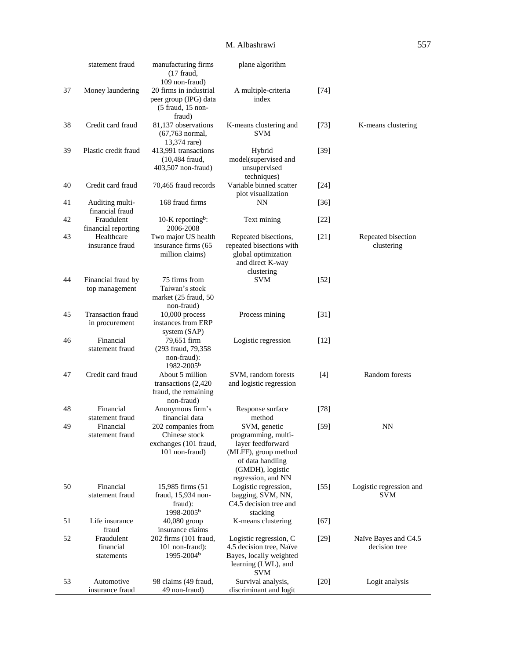|    | statement fraud                       | manufacturing firms<br>$(17$ fraud,<br>109 non-fraud)                          | plane algorithm                                                                                                                                |        |                                       |
|----|---------------------------------------|--------------------------------------------------------------------------------|------------------------------------------------------------------------------------------------------------------------------------------------|--------|---------------------------------------|
| 37 | Money laundering                      | 20 firms in industrial<br>peer group (IPG) data<br>(5 fraud, 15 non-<br>fraud) | A multiple-criteria<br>index                                                                                                                   | [74]   |                                       |
| 38 | Credit card fraud                     | 81,137 observations<br>(67,763 normal,<br>13,374 rare)                         | K-means clustering and<br><b>SVM</b>                                                                                                           | $[73]$ | K-means clustering                    |
| 39 | Plastic credit fraud                  | 413,991 transactions<br>(10,484 fraud,<br>403,507 non-fraud)                   | Hybrid<br>model(supervised and<br>unsupervised<br>techniques)                                                                                  | $[39]$ |                                       |
| 40 | Credit card fraud                     | 70,465 fraud records                                                           | Variable binned scatter<br>plot visualization                                                                                                  | $[24]$ |                                       |
| 41 | Auditing multi-<br>financial fraud    | 168 fraud firms                                                                | NN                                                                                                                                             | $[36]$ |                                       |
| 42 | Fraudulent<br>financial reporting     | 10-K reporting <sup>b</sup> :<br>2006-2008                                     | Text mining                                                                                                                                    | $[22]$ |                                       |
| 43 | Healthcare<br>insurance fraud         | Two major US health<br>insurance firms (65<br>million claims)                  | Repeated bisections,<br>repeated bisections with<br>global optimization<br>and direct K-way<br>clustering                                      | $[21]$ | Repeated bisection<br>clustering      |
| 44 | Financial fraud by<br>top management  | 75 firms from<br>Taiwan's stock<br>market (25 fraud, 50<br>non-fraud)          | <b>SVM</b>                                                                                                                                     | $[52]$ |                                       |
| 45 | Transaction fraud<br>in procurement   | $10,000$ process<br>instances from ERP<br>system (SAP)                         | Process mining                                                                                                                                 | $[31]$ |                                       |
| 46 | Financial<br>statement fraud          | 79,651 firm<br>(293 fraud, 79,358)<br>non-fraud):<br>1982-2005 <sup>b</sup>    | Logistic regression                                                                                                                            | $[12]$ |                                       |
| 47 | Credit card fraud                     | About 5 million<br>transactions (2,420)<br>fraud, the remaining<br>non-fraud)  | SVM, random forests<br>and logistic regression                                                                                                 | $[4]$  | Random forests                        |
| 48 | Financial<br>statement fraud          | Anonymous firm's<br>financial data                                             | Response surface<br>method                                                                                                                     | $[78]$ |                                       |
| 49 | Financial<br>statement fraud          | 202 companies from<br>Chinese stock<br>exchanges (101 fraud,<br>101 non-fraud) | SVM, genetic<br>programming, multi-<br>layer feedforward<br>(MLFF), group method<br>of data handling<br>(GMDH), logistic<br>regression, and NN | $[59]$ | $\mathrm{NN}$                         |
| 50 | Financial<br>statement fraud          | 15,985 firms (51<br>fraud, 15,934 non-<br>fraud):                              | Logistic regression,<br>bagging, SVM, NN,<br>C4.5 decision tree and                                                                            | $[55]$ | Logistic regression and<br><b>SVM</b> |
| 51 | Life insurance<br>fraud               | 1998-2005 <sup>b</sup><br>40,080 group<br>insurance claims                     | stacking<br>K-means clustering                                                                                                                 | $[67]$ |                                       |
| 52 | Fraudulent<br>financial<br>statements | 202 firms (101 fraud,<br>101 non-fraud):<br>1995-2004 <sup>b</sup>             | Logistic regression, C<br>4.5 decision tree, Naïve<br>Bayes, locally weighted<br>learning (LWL), and<br><b>SVM</b>                             | $[29]$ | Naïve Bayes and C4.5<br>decision tree |
| 53 | Automotive<br>insurance fraud         | 98 claims (49 fraud,<br>49 non-fraud)                                          | Survival analysis,<br>discriminant and logit                                                                                                   | $[20]$ | Logit analysis                        |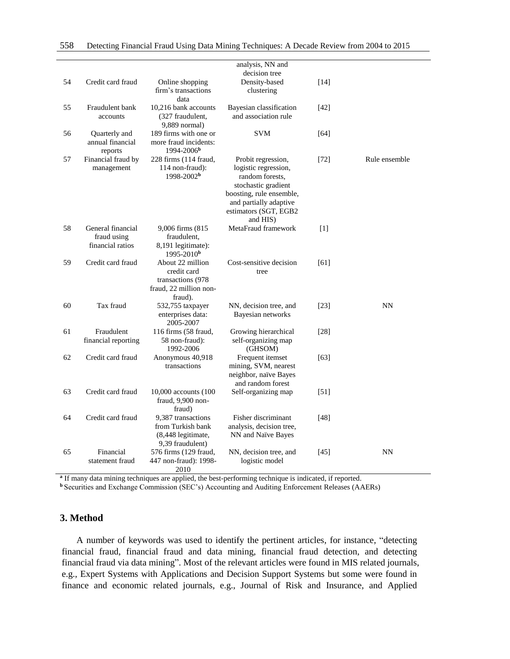|    |                                                      |                                                                                            | analysis, NN and<br>decision tree                                                                                                                                               |        |               |
|----|------------------------------------------------------|--------------------------------------------------------------------------------------------|---------------------------------------------------------------------------------------------------------------------------------------------------------------------------------|--------|---------------|
| 54 | Credit card fraud                                    | Online shopping<br>firm's transactions<br>data                                             | Density-based<br>clustering                                                                                                                                                     | [14]   |               |
| 55 | Fraudulent bank<br>accounts                          | 10,216 bank accounts<br>(327 fraudulent,<br>9,889 normal)                                  | Bayesian classification<br>and association rule                                                                                                                                 | $[42]$ |               |
| 56 | Quarterly and<br>annual financial<br>reports         | 189 firms with one or<br>more fraud incidents:<br>$1994 - 2006b$                           | <b>SVM</b>                                                                                                                                                                      | $[64]$ |               |
| 57 | Financial fraud by<br>management                     | 228 firms (114 fraud,<br>114 non-fraud):<br>1998-2002 <sup>b</sup>                         | Probit regression,<br>logistic regression,<br>random forests.<br>stochastic gradient<br>boosting, rule ensemble,<br>and partially adaptive<br>estimators (SGT, EGB2<br>and HIS) | $[72]$ | Rule ensemble |
| 58 | General financial<br>fraud using<br>financial ratios | 9,006 firms (815<br>fraudulent,<br>8,191 legitimate):<br>$1995 - 2010b$                    | MetaFraud framework                                                                                                                                                             | $[1]$  |               |
| 59 | Credit card fraud                                    | About 22 million<br>credit card<br>transactions (978)<br>fraud, 22 million non-<br>fraud). | Cost-sensitive decision<br>tree                                                                                                                                                 | [61]   |               |
| 60 | Tax fraud                                            | 532,755 taxpayer<br>enterprises data:<br>2005-2007                                         | NN, decision tree, and<br>Bayesian networks                                                                                                                                     | $[23]$ | <b>NN</b>     |
| 61 | Fraudulent<br>financial reporting                    | 116 firms (58 fraud,<br>58 non-fraud):<br>1992-2006                                        | Growing hierarchical<br>self-organizing map<br>(GHSOM)                                                                                                                          | $[28]$ |               |
| 62 | Credit card fraud                                    | Anonymous 40,918<br>transactions                                                           | Frequent itemset<br>mining, SVM, nearest<br>neighbor, naïve Bayes<br>and random forest                                                                                          | $[63]$ |               |
| 63 | Credit card fraud                                    | 10,000 accounts (100<br>fraud, 9,900 non-<br>fraud)                                        | Self-organizing map                                                                                                                                                             | [51]   |               |
| 64 | Credit card fraud                                    | 9,387 transactions<br>from Turkish bank<br>(8,448 legitimate,<br>9,39 fraudulent)          | Fisher discriminant<br>analysis, decision tree,<br>NN and Naïve Bayes                                                                                                           | [48]   |               |
| 65 | Financial<br>statement fraud                         | 576 firms (129 fraud,<br>447 non-fraud): 1998-<br>2010                                     | NN, decision tree, and<br>logistic model                                                                                                                                        | $[45]$ | <b>NN</b>     |

**a** If many data mining techniques are applied, the best-performing technique is indicated, if reported.

**b** Securities and Exchange Commission (SEC's) Accounting and Auditing Enforcement Releases (AAERs)

## **3. Method**

A number of keywords was used to identify the pertinent articles, for instance, "detecting financial fraud, financial fraud and data mining, financial fraud detection, and detecting financial fraud via data mining". Most of the relevant articles were found in MIS related journals, e.g., Expert Systems with Applications and Decision Support Systems but some were found in finance and economic related journals, e.g., Journal of Risk and Insurance, and Applied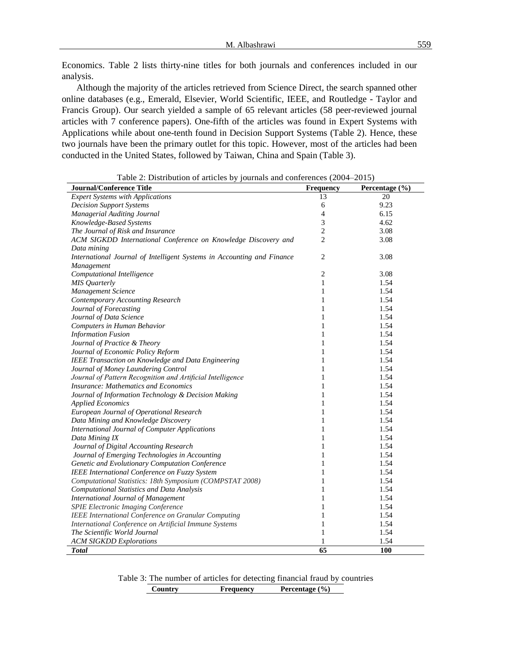Economics. Table 2 lists thirty-nine titles for both journals and conferences included in our analysis.

Although the majority of the articles retrieved from Science Direct, the search spanned other online databases (e.g., Emerald, Elsevier, World Scientific, IEEE, and Routledge - Taylor and Francis Group). Our search yielded a sample of 65 relevant articles (58 peer-reviewed journal articles with 7 conference papers). One-fifth of the articles was found in Expert Systems with Applications while about one-tenth found in Decision Support Systems (Table 2). Hence, these two journals have been the primary outlet for this topic. However, most of the articles had been conducted in the United States, followed by Taiwan, China and Spain (Table 3).

| <b>Journal/Conference Title</b>                                        | Frequency      | Percentage (%) |
|------------------------------------------------------------------------|----------------|----------------|
| <b>Expert Systems with Applications</b>                                | 13             | 20             |
| <b>Decision Support Systems</b>                                        | 6              | 9.23           |
| Managerial Auditing Journal                                            | $\overline{4}$ | 6.15           |
| Knowledge-Based Systems                                                | 3              | 4.62           |
| The Journal of Risk and Insurance                                      | $\overline{c}$ | 3.08           |
| ACM SIGKDD International Conference on Knowledge Discovery and         | $\overline{2}$ | 3.08           |
| Data mining                                                            |                |                |
| International Journal of Intelligent Systems in Accounting and Finance | $\overline{2}$ | 3.08           |
| Management                                                             |                |                |
| Computational Intelligence                                             | 2              | 3.08           |
| <b>MIS</b> Quarterly                                                   | $\mathbf{1}$   | 1.54           |
| Management Science                                                     | $\mathbf{1}$   | 1.54           |
| <b>Contemporary Accounting Research</b>                                | $\mathbf{1}$   | 1.54           |
| Journal of Forecasting                                                 | 1              | 1.54           |
| Journal of Data Science                                                | $\mathbf{1}$   | 1.54           |
| Computers in Human Behavior                                            | $\mathbf{1}$   | 1.54           |
| <b>Information Fusion</b>                                              | $\mathbf{1}$   | 1.54           |
| Journal of Practice & Theory                                           | $\mathbf{1}$   | 1.54           |
| Journal of Economic Policy Reform                                      | $\mathbf{1}$   | 1.54           |
| IEEE Transaction on Knowledge and Data Engineering                     | $\mathbf{1}$   | 1.54           |
| Journal of Money Laundering Control                                    | 1              | 1.54           |
| Journal of Pattern Recognition and Artificial Intelligence             | $\mathbf{1}$   | 1.54           |
| <b>Insurance: Mathematics and Economics</b>                            | $\mathbf{1}$   | 1.54           |
| Journal of Information Technology & Decision Making                    | $\mathbf{1}$   | 1.54           |
| <b>Applied Economics</b>                                               | $\mathbf{1}$   | 1.54           |
| European Journal of Operational Research                               | $\mathbf{1}$   | 1.54           |
| Data Mining and Knowledge Discovery                                    | $\mathbf{1}$   | 1.54           |
| International Journal of Computer Applications                         | $\mathbf{1}$   | 1.54           |
| Data Mining IX                                                         | 1              | 1.54           |
| Journal of Digital Accounting Research                                 | $\mathbf{1}$   | 1.54           |
| Journal of Emerging Technologies in Accounting                         | $\mathbf{1}$   | 1.54           |
| Genetic and Evolutionary Computation Conference                        | 1              | 1.54           |
| IEEE International Conference on Fuzzy System                          | $\mathbf{1}$   | 1.54           |
| Computational Statistics: 18th Symposium (COMPSTAT 2008)               | 1              | 1.54           |
| <b>Computational Statistics and Data Analysis</b>                      | $\mathbf{1}$   | 1.54           |
| <b>International Journal of Management</b>                             | 1              | 1.54           |
| SPIE Electronic Imaging Conference                                     | $\mathbf{1}$   | 1.54           |
| IEEE International Conference on Granular Computing                    | $\mathbf{1}$   | 1.54           |
| International Conference on Artificial Immune Systems                  | 1              | 1.54           |
| The Scientific World Journal                                           | $\mathbf{1}$   | 1.54           |
| <b>ACM SIGKDD Explorations</b>                                         | 1              | 1.54           |
| <b>Total</b>                                                           | 65             | <b>100</b>     |

Table 2: Distribution of articles by journals and conferences (2004–2015)

Table 3: The number of articles for detecting financial fraud by countries

**Country Frequency Percentage (%)**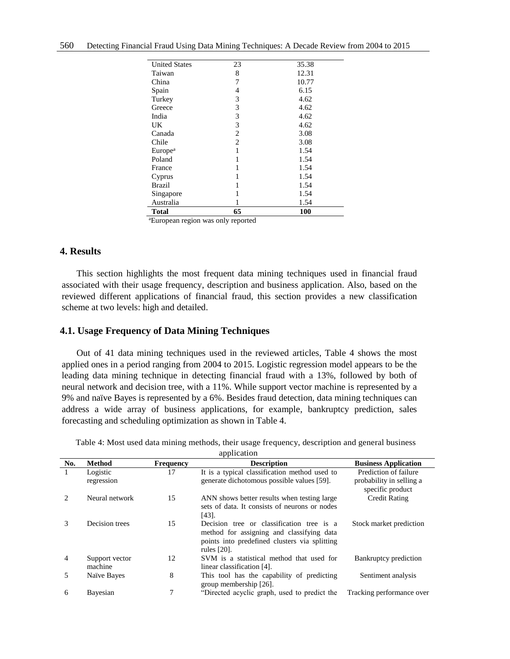| $3\Gamma_{22}$ and $\Gamma_{23}$ | . 1.<br>. 1 |       |
|----------------------------------|-------------|-------|
| <b>Total</b>                     | 65          | 100   |
| Australia                        |             | 1.54  |
| Singapore                        |             | 1.54  |
| <b>Brazil</b>                    |             | 1.54  |
| Cyprus                           |             | 1.54  |
| France                           |             | 1.54  |
| Poland                           |             | 1.54  |
| Europe <sup>a</sup>              | 1           | 1.54  |
| Chile                            | 2           | 3.08  |
| Canada                           | 2           | 3.08  |
| UK                               | 3           | 4.62  |
| India                            | 3           | 4.62  |
| Greece                           | 3           | 4.62  |
| Turkey                           | 3           | 4.62  |
| Spain                            | 4           | 6.15  |
| China                            | 7           | 10.77 |
| Taiwan                           | 8           | 12.31 |
| <b>United States</b>             | 23          | 35.38 |
|                                  |             |       |

<sup>a</sup>European region was only reported

# **4. Results**

This section highlights the most frequent data mining techniques used in financial fraud associated with their usage frequency, description and business application. Also, based on the reviewed different applications of financial fraud, this section provides a new classification scheme at two levels: high and detailed.

## **4.1. Usage Frequency of Data Mining Techniques**

Out of 41 data mining techniques used in the reviewed articles, Table 4 shows the most applied ones in a period ranging from 2004 to 2015. Logistic regression model appears to be the leading data mining technique in detecting financial fraud with a 13%, followed by both of neural network and decision tree, with a 11%. While support vector machine is represented by a 9% and naïve Bayes is represented by a 6%. Besides fraud detection, data mining techniques can address a wide array of business applications, for example, bankruptcy prediction, sales forecasting and scheduling optimization as shown in Table 4.

| No.                         | <b>Method</b>             | <b>Frequency</b> | <b>Description</b>                                                                                                                                     | <b>Business Application</b>                                           |
|-----------------------------|---------------------------|------------------|--------------------------------------------------------------------------------------------------------------------------------------------------------|-----------------------------------------------------------------------|
| 1                           | Logistic<br>regression    | 17               | It is a typical classification method used to<br>generate dichotomous possible values [59].                                                            | Prediction of failure<br>probability in selling a<br>specific product |
| $\mathcal{D}_{\mathcal{L}}$ | Neural network            | 15               | ANN shows better results when testing large<br>sets of data. It consists of neurons or nodes<br>$[43]$ .                                               | <b>Credit Rating</b>                                                  |
| 3                           | Decision trees            | 15               | Decision tree or classification tree is a<br>method for assigning and classifying data<br>points into predefined clusters via splitting<br>rules [20]. | Stock market prediction                                               |
| 4                           | Support vector<br>machine | 12               | SVM is a statistical method that used for<br>linear classification [4].                                                                                | Bankruptcy prediction                                                 |
| 5                           | Naïve Bayes               | 8                | This tool has the capability of predicting<br>group membership [26].                                                                                   | Sentiment analysis                                                    |
| 6                           | Bayesian                  | 7                | "Directed acyclic graph, used to predict the                                                                                                           | Tracking performance over                                             |

Table 4: Most used data mining methods, their usage frequency, description and general business

application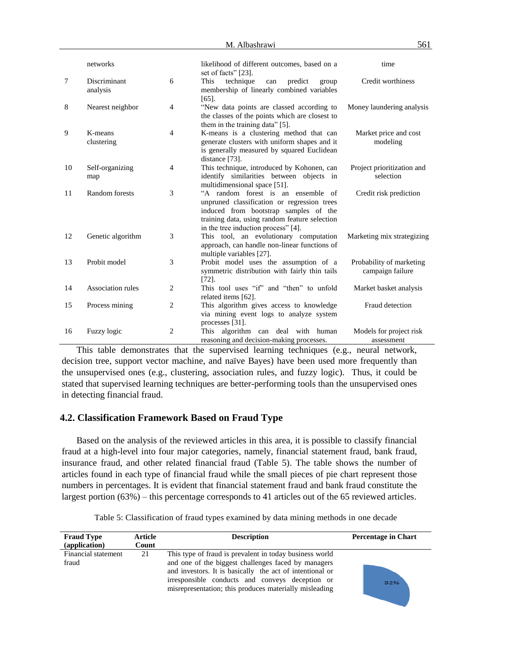|    | networks                 |                | likelihood of different outcomes, based on a<br>set of facts" [23].                                                                                                                                                | time                                         |
|----|--------------------------|----------------|--------------------------------------------------------------------------------------------------------------------------------------------------------------------------------------------------------------------|----------------------------------------------|
| 7  | Discriminant<br>analysis | 6              | technique<br>This<br>predict<br>can<br>group<br>membership of linearly combined variables<br>$[65]$ .                                                                                                              | Credit worthiness                            |
| 8  | Nearest neighbor         | $\overline{4}$ | "New data points are classed according to<br>the classes of the points which are closest to<br>them in the training data" [5].                                                                                     | Money laundering analysis                    |
| 9  | K-means<br>clustering    | $\overline{4}$ | K-means is a clustering method that can<br>generate clusters with uniform shapes and it<br>is generally measured by squared Euclidean<br>distance [73].                                                            | Market price and cost<br>modeling            |
| 10 | Self-organizing<br>map   | $\overline{4}$ | This technique, introduced by Kohonen, can<br>identify similarities between objects in<br>multidimensional space [51].                                                                                             | Project prioritization and<br>selection      |
| 11 | Random forests           | 3              | "A random forest is an ensemble of<br>unpruned classification or regression trees<br>induced from bootstrap samples of the<br>training data, using random feature selection<br>in the tree induction process" [4]. | Credit risk prediction                       |
| 12 | Genetic algorithm        | 3              | This tool, an evolutionary computation<br>approach, can handle non-linear functions of<br>multiple variables [27].                                                                                                 | Marketing mix strategizing                   |
| 13 | Probit model             | 3              | Probit model uses the assumption of a<br>symmetric distribution with fairly thin tails<br>[72]                                                                                                                     | Probability of marketing<br>campaign failure |
| 14 | Association rules        | 2              | This tool uses "if" and "then" to unfold<br>related items [62].                                                                                                                                                    | Market basket analysis                       |
| 15 | Process mining           | $\overline{c}$ | This algorithm gives access to knowledge<br>via mining event logs to analyze system<br>processes [31].                                                                                                             | Fraud detection                              |
| 16 | Fuzzy logic              | $\overline{2}$ | algorithm can deal with human<br>This<br>reasoning and decision-making processes.                                                                                                                                  | Models for project risk<br>assessment        |

This table demonstrates that the supervised learning techniques (e.g., neural network, decision tree, support vector machine, and naïve Bayes) have been used more frequently than the unsupervised ones (e.g., clustering, association rules, and fuzzy logic). Thus, it could be stated that supervised learning techniques are better-performing tools than the unsupervised ones in detecting financial fraud.

# **4.2. Classification Framework Based on Fraud Type**

Based on the analysis of the reviewed articles in this area, it is possible to classify financial fraud at a high-level into four major categories, namely, financial statement fraud, bank fraud, insurance fraud, and other related financial fraud (Table 5). The table shows the number of articles found in each type of financial fraud while the small pieces of pie chart represent those numbers in percentages. It is evident that financial statement fraud and bank fraud constitute the largest portion (63%) – this percentage corresponds to 41 articles out of the 65 reviewed articles.

Table 5: Classification of fraud types examined by data mining methods in one decade

| <b>Fraud Type</b><br>(application) | Article<br>Count | <b>Description</b>                                                                                                                                                                                                                                                                      | <b>Percentage in Chart</b> |
|------------------------------------|------------------|-----------------------------------------------------------------------------------------------------------------------------------------------------------------------------------------------------------------------------------------------------------------------------------------|----------------------------|
| Financial statement<br>fraud       | 21               | This type of fraud is prevalent in today business world<br>and one of the biggest challenges faced by managers<br>and investors. It is basically the act of intentional or<br>irresponsible conducts and conveys deception or<br>misrepresentation; this produces materially misleading | 32%                        |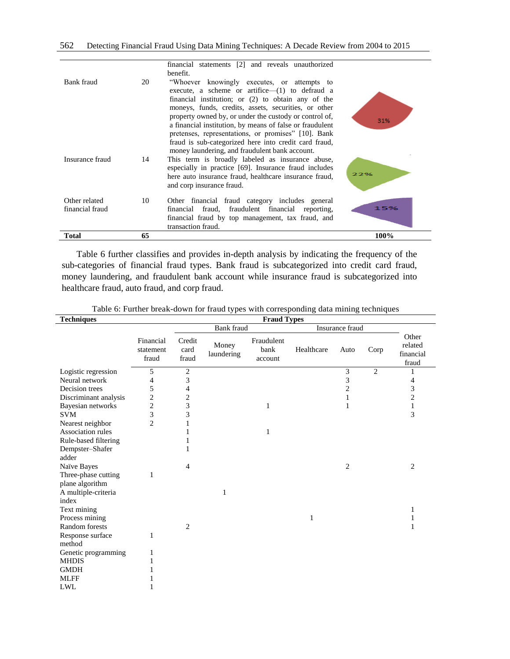|                                  |    | property owned by, or under the custody or control of,<br>a financial institution, by means of false or fraudulent                                                                               | 31%  |
|----------------------------------|----|--------------------------------------------------------------------------------------------------------------------------------------------------------------------------------------------------|------|
|                                  |    | pretenses, representations, or promises" [10]. Bank<br>fraud is sub-categorized here into credit card fraud,<br>money laundering, and fraudulent bank account.                                   |      |
| Insurance fraud                  | 14 | This term is broadly labeled as insurance abuse,<br>especially in practice [69]. Insurance fraud includes<br>here auto insurance fraud, healthcare insurance fraud,<br>and corp insurance fraud. | 22%  |
| Other related<br>financial fraud | 10 | Other financial fraud category includes general<br>fraud, fraudulent financial reporting,<br>financial<br>financial fraud by top management, tax fraud, and<br>transaction fraud.                | 15%  |
| Total                            | 65 |                                                                                                                                                                                                  | 100% |

Table 6 further classifies and provides in-depth analysis by indicating the frequency of the sub-categories of financial fraud types. Bank fraud is subcategorized into credit card fraud, money laundering, and fraudulent bank account while insurance fraud is subcategorized into healthcare fraud, auto fraud, and corp fraud.

|  |  |  |  | Table 6: Further break-down for fraud types with corresponding data mining techniques |  |  |  |
|--|--|--|--|---------------------------------------------------------------------------------------|--|--|--|
|  |  |  |  |                                                                                       |  |  |  |

| <b>Techniques</b>     | <b>Fraud Types</b>              |                         |                     |                               |                 |                |                |                                        |  |  |
|-----------------------|---------------------------------|-------------------------|---------------------|-------------------------------|-----------------|----------------|----------------|----------------------------------------|--|--|
|                       |                                 |                         | Bank fraud          |                               | Insurance fraud |                |                |                                        |  |  |
|                       | Financial<br>statement<br>fraud | Credit<br>card<br>fraud | Money<br>laundering | Fraudulent<br>bank<br>account | Healthcare      | Auto           | Corp           | Other<br>related<br>financial<br>fraud |  |  |
| Logistic regression   | 5                               | $\overline{2}$          |                     |                               |                 | $\overline{3}$ | $\overline{2}$ | ı                                      |  |  |
| Neural network        | 4                               | 3                       |                     |                               |                 | 3              |                | 4                                      |  |  |
| Decision trees        | 5                               | 4                       |                     |                               |                 | $\overline{c}$ |                | 3                                      |  |  |
| Discriminant analysis | 2                               | 2                       |                     |                               |                 |                |                | $\overline{c}$                         |  |  |
| Bayesian networks     | $\overline{\mathbf{c}}$         | 3                       |                     | 1                             |                 | 1              |                | $\mathbf{1}$                           |  |  |
| <b>SVM</b>            | 3                               | 3                       |                     |                               |                 |                |                | 3                                      |  |  |
| Nearest neighbor      | $\overline{c}$                  | 1                       |                     |                               |                 |                |                |                                        |  |  |
| Association rules     |                                 |                         |                     | 1                             |                 |                |                |                                        |  |  |
| Rule-based filtering  |                                 |                         |                     |                               |                 |                |                |                                        |  |  |
| Dempster-Shafer       |                                 |                         |                     |                               |                 |                |                |                                        |  |  |
| adder                 |                                 |                         |                     |                               |                 |                |                |                                        |  |  |
| Naïve Bayes           |                                 | 4                       |                     |                               |                 | 2              |                | 2                                      |  |  |
| Three-phase cutting   | 1                               |                         |                     |                               |                 |                |                |                                        |  |  |
| plane algorithm       |                                 |                         |                     |                               |                 |                |                |                                        |  |  |
| A multiple-criteria   |                                 |                         | 1                   |                               |                 |                |                |                                        |  |  |
| index                 |                                 |                         |                     |                               |                 |                |                |                                        |  |  |
| Text mining           |                                 |                         |                     |                               |                 |                |                | 1                                      |  |  |
| Process mining        |                                 |                         |                     |                               | 1               |                |                | 1                                      |  |  |
| <b>Random</b> forests |                                 | 2                       |                     |                               |                 |                |                | 1                                      |  |  |
| Response surface      | 1                               |                         |                     |                               |                 |                |                |                                        |  |  |
| method                |                                 |                         |                     |                               |                 |                |                |                                        |  |  |
| Genetic programming   | 1                               |                         |                     |                               |                 |                |                |                                        |  |  |
| <b>MHDIS</b>          | 1                               |                         |                     |                               |                 |                |                |                                        |  |  |
| <b>GMDH</b>           |                                 |                         |                     |                               |                 |                |                |                                        |  |  |
| <b>MLFF</b>           |                                 |                         |                     |                               |                 |                |                |                                        |  |  |
| LWL                   |                                 |                         |                     |                               |                 |                |                |                                        |  |  |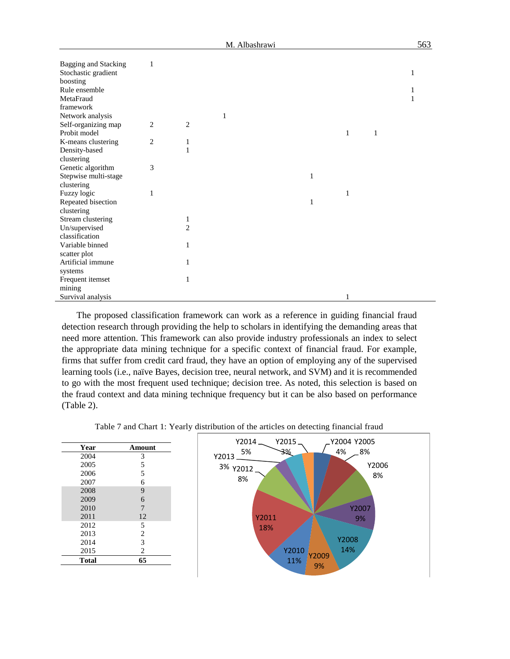| <b>Bagging and Stacking</b><br>Stochastic gradient<br>boosting | 1              |                |   |  |   |   |   |   |
|----------------------------------------------------------------|----------------|----------------|---|--|---|---|---|---|
| Rule ensemble                                                  |                |                |   |  |   |   |   | л |
| MetaFraud                                                      |                |                |   |  |   |   |   | 1 |
| framework                                                      |                |                |   |  |   |   |   |   |
| Network analysis                                               |                |                | 1 |  |   |   |   |   |
| Self-organizing map                                            | 2              | $\overline{2}$ |   |  |   |   |   |   |
| Probit model                                                   |                |                |   |  |   | 1 | 1 |   |
| K-means clustering                                             | $\overline{2}$ | 1              |   |  |   |   |   |   |
| Density-based                                                  |                | $\mathbf{1}$   |   |  |   |   |   |   |
| clustering                                                     |                |                |   |  |   |   |   |   |
| Genetic algorithm                                              | 3              |                |   |  |   |   |   |   |
| Stepwise multi-stage                                           |                |                |   |  | 1 |   |   |   |
| clustering                                                     |                |                |   |  |   |   |   |   |
| Fuzzy logic                                                    | $\mathbf{1}$   |                |   |  |   | 1 |   |   |
| Repeated bisection                                             |                |                |   |  | 1 |   |   |   |
| clustering                                                     |                |                |   |  |   |   |   |   |
| Stream clustering                                              |                | 1              |   |  |   |   |   |   |
| Un/supervised                                                  |                | $\overline{2}$ |   |  |   |   |   |   |
| classification                                                 |                |                |   |  |   |   |   |   |
| Variable binned                                                |                | 1              |   |  |   |   |   |   |
| scatter plot                                                   |                |                |   |  |   |   |   |   |
| Artificial immune                                              |                | 1              |   |  |   |   |   |   |
| systems                                                        |                |                |   |  |   |   |   |   |
| Frequent itemset                                               |                | 1              |   |  |   |   |   |   |
| mining                                                         |                |                |   |  |   |   |   |   |
| Survival analysis                                              |                |                |   |  |   | 1 |   |   |

The proposed classification framework can work as a reference in guiding financial fraud detection research through providing the help to scholars in identifying the demanding areas that need more attention. This framework can also provide industry professionals an index to select the appropriate data mining technique for a specific context of financial fraud. For example, firms that suffer from credit card fraud, they have an option of employing any of the supervised learning tools (i.e., naïve Bayes, decision tree, neural network, and SVM) and it is recommended to go with the most frequent used technique; decision tree. As noted, this selection is based on the fraud context and data mining technique frequency but it can be also based on performance (Table 2).

Table 7 and Chart 1: Yearly distribution of the articles on detecting financial fraud

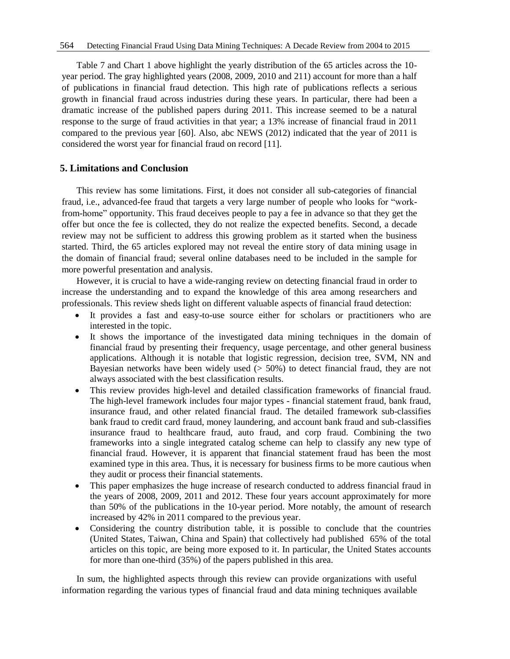Table 7 and Chart 1 above highlight the yearly distribution of the 65 articles across the 10 year period. The gray highlighted years (2008, 2009, 2010 and 211) account for more than a half of publications in financial fraud detection. This high rate of publications reflects a serious growth in financial fraud across industries during these years. In particular, there had been a dramatic increase of the published papers during 2011. This increase seemed to be a natural response to the surge of fraud activities in that year; a 13% increase of financial fraud in 2011 compared to the previous year [60]. Also, abc NEWS (2012) indicated that the year of 2011 is considered the worst year for financial fraud on record [11].

## **5. Limitations and Conclusion**

This review has some limitations. First, it does not consider all sub-categories of financial fraud, i.e., advanced-fee fraud that targets a very large number of people who looks for "workfrom-home" opportunity. This fraud deceives people to pay a fee in advance so that they get the offer but once the fee is collected, they do not realize the expected benefits. Second, a decade review may not be sufficient to address this growing problem as it started when the business started. Third, the 65 articles explored may not reveal the entire story of data mining usage in the domain of financial fraud; several online databases need to be included in the sample for more powerful presentation and analysis.

However, it is crucial to have a wide-ranging review on detecting financial fraud in order to increase the understanding and to expand the knowledge of this area among researchers and professionals. This review sheds light on different valuable aspects of financial fraud detection:

- It provides a fast and easy-to-use source either for scholars or practitioners who are interested in the topic.
- It shows the importance of the investigated data mining techniques in the domain of financial fraud by presenting their frequency, usage percentage, and other general business applications. Although it is notable that logistic regression, decision tree, SVM, NN and Bayesian networks have been widely used  $($  > 50%) to detect financial fraud, they are not always associated with the best classification results.
- This review provides high-level and detailed classification frameworks of financial fraud. The high-level framework includes four major types - financial statement fraud, bank fraud, insurance fraud, and other related financial fraud. The detailed framework sub-classifies bank fraud to credit card fraud, money laundering, and account bank fraud and sub-classifies insurance fraud to healthcare fraud, auto fraud, and corp fraud. Combining the two frameworks into a single integrated catalog scheme can help to classify any new type of financial fraud. However, it is apparent that financial statement fraud has been the most examined type in this area. Thus, it is necessary for business firms to be more cautious when they audit or process their financial statements.
- This paper emphasizes the huge increase of research conducted to address financial fraud in the years of 2008, 2009, 2011 and 2012. These four years account approximately for more than 50% of the publications in the 10-year period. More notably, the amount of research increased by 42% in 2011 compared to the previous year.
- Considering the country distribution table, it is possible to conclude that the countries (United States, Taiwan, China and Spain) that collectively had published 65% of the total articles on this topic, are being more exposed to it. In particular, the United States accounts for more than one-third (35%) of the papers published in this area.

In sum, the highlighted aspects through this review can provide organizations with useful information regarding the various types of financial fraud and data mining techniques available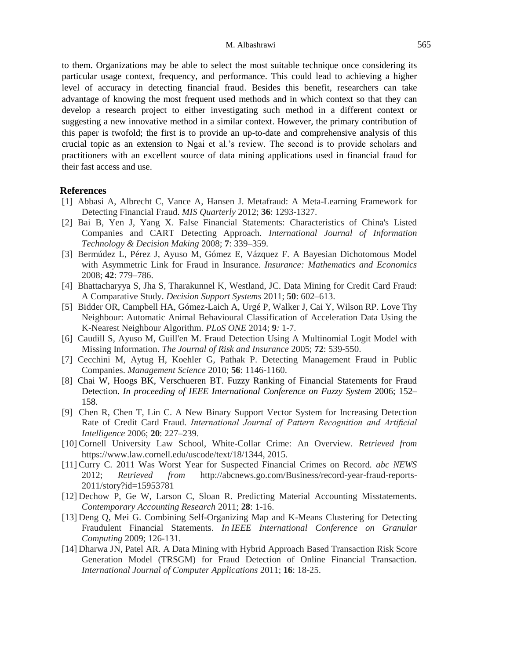to them. Organizations may be able to select the most suitable technique once considering its particular usage context, frequency, and performance. This could lead to achieving a higher level of accuracy in detecting financial fraud. Besides this benefit, researchers can take advantage of knowing the most frequent used methods and in which context so that they can develop a research project to either investigating such method in a different context or suggesting a new innovative method in a similar context. However, the primary contribution of this paper is twofold; the first is to provide an up-to-date and comprehensive analysis of this crucial topic as an extension to Ngai et al.'s review. The second is to provide scholars and practitioners with an excellent source of data mining applications used in financial fraud for their fast access and use.

#### **References**

- [1] Abbasi A, Albrecht C, Vance A, Hansen J. Metafraud: A Meta-Learning Framework for Detecting Financial Fraud. *MIS Quarterly* 2012; **36**: 1293-1327.
- [2] Bai B, Yen J, Yang X. False Financial Statements: Characteristics of China's Listed Companies and CART Detecting Approach. *International Journal of Information Technology & Decision Making* 2008; **7**: 339–359.
- [3] Bermúdez L, Pérez J, Ayuso M, Gómez E, Vázquez F. A Bayesian Dichotomous Model with Asymmetric Link for Fraud in Insurance. *Insurance: Mathematics and Economics* 2008; **42**: 779–786.
- [4] Bhattacharyya S, Jha S, Tharakunnel K, Westland, JC. Data Mining for Credit Card Fraud: A Comparative Study. *Decision Support Systems* 2011; **50**: 602–613.
- [5] Bidder OR, Campbell HA, Gómez-Laich A, Urgé P, Walker J, Cai Y, Wilson RP. Love Thy Neighbour: Automatic Animal Behavioural Classification of Acceleration Data Using the K-Nearest Neighbour Algorithm. *PLoS ONE* 2014; **9***:* 1-7.
- [6] Caudill S, Ayuso M, Guill'en M. Fraud Detection Using A Multinomial Logit Model with Missing Information. *The Journal of Risk and Insurance* 2005; **72**: 539-550.
- [7] Cecchini M, Aytug H, Koehler G, Pathak P. Detecting Management Fraud in Public Companies. *Management Science* 2010; **56**: 1146-1160.
- [8] Chai W, Hoogs BK, Verschueren BT. Fuzzy Ranking of Financial Statements for Fraud Detection. *In proceeding of IEEE International Conference on Fuzzy System* 2006; 152– 158.
- [9] Chen R, Chen T, Lin C. A New Binary Support Vector System for Increasing Detection Rate of Credit Card Fraud. *International Journal of Pattern Recognition and Artificial Intelligence* 2006; **20**: 227–239.
- [10] Cornell University Law School, White-Collar Crime: An Overview. *Retrieved from* https://www.law.cornell.edu/uscode/text/18/1344, 2015.
- [11] Curry C. 2011 Was Worst Year for Suspected Financial Crimes on Record. *abc NEWS* 2012; *Retrieved from* http://abcnews.go.com/Business/record-year-fraud-reports-2011/story?id=15953781
- [12] Dechow P, Ge W, Larson C, Sloan R. Predicting Material Accounting Misstatements. *Contemporary Accounting Research* 2011; **28**: 1-16.
- [13] Deng Q, Mei G. Combining Self-Organizing Map and K-Means Clustering for Detecting Fraudulent Financial Statements. *In IEEE International Conference on Granular Computing* 2009; 126-131.
- [14] Dharwa JN, Patel AR. A Data Mining with Hybrid Approach Based Transaction Risk Score Generation Model (TRSGM) for Fraud Detection of Online Financial Transaction. *International Journal of Computer Applications* 2011; **16**: 18-25.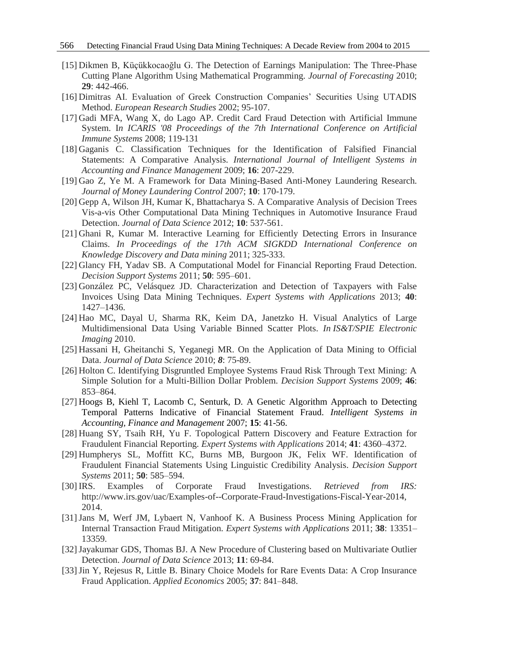- [15] Dikmen B, Küçükkocaoğlu G. The Detection of Earnings Manipulation: The Three-Phase Cutting Plane Algorithm Using Mathematical Programming. *Journal of Forecasting* 2010; **29**: 442-466.
- [16] Dimitras AI. Evaluation of Greek Construction Companies' Securities Using UTADIS Method. *European Research Studies* 2002; 95-107.
- [17] Gadi MFA, Wang X, do Lago AP. Credit Card Fraud Detection with Artificial Immune System. I*n ICARIS '08 Proceedings of the 7th International Conference on Artificial Immune Systems* 2008; 119-131
- [18] Gaganis C. Classification Techniques for the Identification of Falsified Financial Statements: A Comparative Analysis. *International Journal of Intelligent Systems in Accounting and Finance Management* 2009; **16**: 207-229.
- [19] Gao Z, Ye M. A Framework for Data Mining-Based Anti-Money Laundering Research. *Journal of Money Laundering Control* 2007; **10**: 170-179.
- [20] Gepp A, Wilson JH, Kumar K, Bhattacharya S. A Comparative Analysis of Decision Trees Vis-a-vis Other Computational Data Mining Techniques in Automotive Insurance Fraud Detection. *Journal of Data Science* 2012; **10**: 537-561.
- [21] Ghani R, Kumar M. Interactive Learning for Efficiently Detecting Errors in Insurance Claims. *In Proceedings of the 17th ACM SIGKDD International Conference on Knowledge Discovery and Data mining* 2011; 325-333.
- [22] Glancy FH, Yadav SB. A Computational Model for Financial Reporting Fraud Detection. *Decision Support Systems* 2011; **50**: 595–601.
- [23] González PC, Velásquez JD. Characterization and Detection of Taxpayers with False Invoices Using Data Mining Techniques. *Expert Systems with Applications* 2013; **40**: 1427–1436.
- [24] Hao MC, Dayal U, Sharma RK, Keim DA, Janetzko H. Visual Analytics of Large Multidimensional Data Using Variable Binned Scatter Plots. *In IS&T/SPIE Electronic Imaging* 2010.
- [25] Hassani H, Gheitanchi S, Yeganegi MR. On the Application of Data Mining to Official Data. *Journal of Data Science* 2010; *8*: 75-89.
- [26] Holton C. Identifying Disgruntled Employee Systems Fraud Risk Through Text Mining: A Simple Solution for a Multi-Billion Dollar Problem. *Decision Support Systems* 2009; **46**: 853–864.
- [27] Hoogs B, Kiehl T, Lacomb C, Senturk, D. A Genetic Algorithm Approach to Detecting Temporal Patterns Indicative of Financial Statement Fraud. *Intelligent Systems in Accounting, Finance and Management* 2007; **15**: 41-56.
- [28] Huang SY, Tsaih RH, Yu F. Topological Pattern Discovery and Feature Extraction for Fraudulent Financial Reporting. *Expert Systems with Applications* 2014; **41**: 4360–4372.
- [29] Humpherys SL, Moffitt KC, Burns MB, Burgoon JK, Felix WF. Identification of Fraudulent Financial Statements Using Linguistic Credibility Analysis. *Decision Support Systems* 2011; **50**: 585–594.
- [30] IRS. Examples of Corporate Fraud Investigations. *Retrieved from IRS:* http://www.irs.gov/uac/Examples-of--Corporate-Fraud-Investigations-Fiscal-Year-2014, 2014.
- [31]Jans M, Werf JM, Lybaert N, Vanhoof K. A Business Process Mining Application for Internal Transaction Fraud Mitigation. *Expert Systems with Applications* 2011; **38**: 13351– 13359.
- [32]Jayakumar GDS, Thomas BJ. A New Procedure of Clustering based on Multivariate Outlier Detection. *Journal of Data Science* 2013; **11**: 69-84.
- [33]Jin Y, Rejesus R, Little B. Binary Choice Models for Rare Events Data: A Crop Insurance Fraud Application. *Applied Economics* 2005; **37**: 841–848.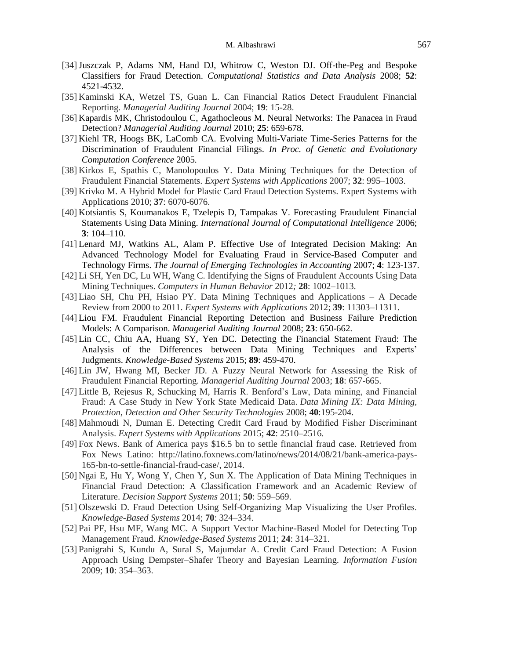- [34]Juszczak P, Adams NM, Hand DJ, Whitrow C, Weston DJ. Off-the-Peg and Bespoke Classifiers for Fraud Detection. *Computational Statistics and Data Analysis* 2008; **52**: 4521-4532.
- [35] Kaminski KA, Wetzel TS, Guan L. Can Financial Ratios Detect Fraudulent Financial Reporting. *Managerial Auditing Journal* 2004; **19**: 15-28.
- [36] Kapardis MK, Christodoulou C, Agathocleous M. Neural Networks: The Panacea in Fraud Detection? *Managerial Auditing Journal* 2010; **25**: 659-678.
- [37] Kiehl TR, Hoogs BK, LaComb CA. Evolving Multi-Variate Time-Series Patterns for the Discrimination of Fraudulent Financial Filings. *In Proc. of Genetic and Evolutionary Computation Conference* 2005*.*
- [38] Kirkos E, Spathis C, Manolopoulos Y. Data Mining Techniques for the Detection of Fraudulent Financial Statements. *Expert Systems with Applications* 2007; **32**: 995–1003.
- [39] Krivko M. A Hybrid Model for Plastic Card Fraud Detection Systems. Expert Systems with Applications 2010; **37**: 6070-6076.
- [40] Kotsiantis S, Koumanakos E, Tzelepis D, Tampakas V. Forecasting Fraudulent Financial Statements Using Data Mining. *International Journal of Computational Intelligence* 2006; **3**: 104–110.
- [41] Lenard MJ, Watkins AL, Alam P. Effective Use of Integrated Decision Making: An Advanced Technology Model for Evaluating Fraud in Service-Based Computer and Technology Firms. *The Journal of Emerging Technologies in Accounting* 2007; **4**: 123-137.
- [42] Li SH, Yen DC, Lu WH, Wang C. Identifying the Signs of Fraudulent Accounts Using Data Mining Techniques. *Computers in Human Behavior* 2012*;* **28**: 1002–1013.
- [43] Liao SH, Chu PH, Hsiao PY. Data Mining Techniques and Applications A Decade Review from 2000 to 2011. *Expert Systems with Applications* 2012; **39**: 11303–11311.
- [44] Liou FM. Fraudulent Financial Reporting Detection and Business Failure Prediction Models: A Comparison. *Managerial Auditing Journal* 2008; **23**: 650-662.
- [45] Lin CC, Chiu AA, Huang SY, Yen DC. Detecting the Financial Statement Fraud: The Analysis of the Differences between Data Mining Techniques and Experts' Judgments. *Knowledge-Based Systems* 2015; **89**: 459-470.
- [46] Lin JW, Hwang MI, Becker JD. A Fuzzy Neural Network for Assessing the Risk of Fraudulent Financial Reporting. *Managerial Auditing Journal* 2003; **18**: 657-665.
- [47] Little B, Rejesus R, Schucking M, Harris R. Benford's Law, Data mining, and Financial Fraud: A Case Study in New York State Medicaid Data. *Data Mining IX: Data Mining, Protection, Detection and Other Security Technologies* 2008; **40**:195-204.
- [48] Mahmoudi N, Duman E. Detecting Credit Card Fraud by Modified Fisher Discriminant Analysis. *Expert Systems with Applications* 2015; **42**: 2510–2516.
- [49] Fox News. Bank of America pays \$16.5 bn to settle financial fraud case. Retrieved from Fox News Latino: http://latino.foxnews.com/latino/news/2014/08/21/bank-america-pays-165-bn-to-settle-financial-fraud-case/, 2014.
- [50] Ngai E, Hu Y, Wong Y, Chen Y, Sun X. The Application of Data Mining Techniques in Financial Fraud Detection: A Classification Framework and an Academic Review of Literature. *Decision Support Systems* 2011; **50**: 559–569.
- [51] Olszewski D. Fraud Detection Using Self-Organizing Map Visualizing the User Profiles. *Knowledge-Based Systems* 2014; **70**: 324–334.
- [52] Pai PF, Hsu MF, Wang MC. A Support Vector Machine-Based Model for Detecting Top Management Fraud. *Knowledge-Based Systems* 2011; **24**: 314–321.
- [53] Panigrahi S, Kundu A, Sural S, Majumdar A. Credit Card Fraud Detection: A Fusion Approach Using Dempster–Shafer Theory and Bayesian Learning. *Information Fusion* 2009; **10**: 354–363.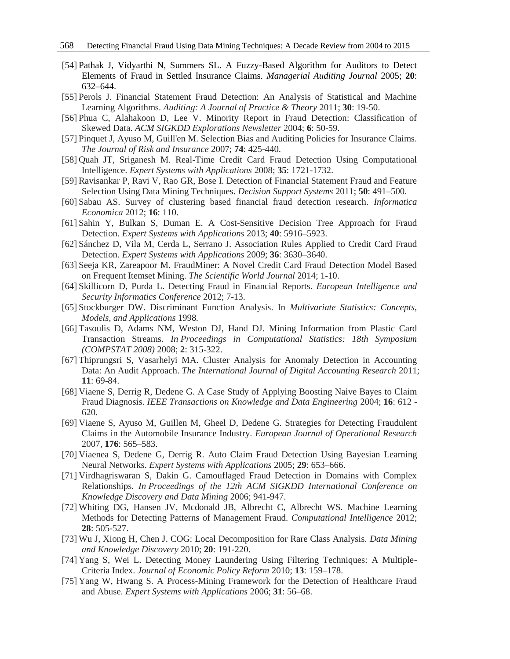- [54] Pathak J, Vidyarthi N, Summers SL. A Fuzzy-Based Algorithm for Auditors to Detect Elements of Fraud in Settled Insurance Claims. *Managerial Auditing Journal* 2005; **20**: 632–644.
- [55] Perols J. Financial Statement Fraud Detection: An Analysis of Statistical and Machine Learning Algorithms. *Auditing: A Journal of Practice & Theory* 2011; **30**: 19-50.
- [56] Phua C, Alahakoon D, Lee V. Minority Report in Fraud Detection: Classification of Skewed Data. *ACM SIGKDD Explorations Newsletter* 2004; **6**: 50-59.
- [57] Pinquet J, Ayuso M, Guill'en M. Selection Bias and Auditing Policies for Insurance Claims. *The Journal of Risk and Insurance* 2007; **74**: 425-440.
- [58] Quah JT, Sriganesh M. Real-Time Credit Card Fraud Detection Using Computational Intelligence. *Expert Systems with Applications* 2008; **35**: 1721-1732.
- [59] Ravisankar P, Ravi V, Rao GR, Bose I. Detection of Financial Statement Fraud and Feature Selection Using Data Mining Techniques. *Decision Support Systems* 2011; **50**: 491–500.
- [60] Sabau AS. Survey of clustering based financial fraud detection research. *Informatica Economica* 2012; **16**: 110.
- [61] Sahin Y, Bulkan S, Duman E. A Cost-Sensitive Decision Tree Approach for Fraud Detection. *Expert Systems with Applications* 2013; **40**: 5916–5923.
- [62] Sánchez D, Vila M, Cerda L, Serrano J. Association Rules Applied to Credit Card Fraud Detection. *Expert Systems with Applications* 2009; **36**: 3630–3640.
- [63] Seeja KR, Zareapoor M. FraudMiner: A Novel Credit Card Fraud Detection Model Based on Frequent Itemset Mining. *The Scientific World Journal* 2014; 1-10.
- [64] Skillicorn D, Purda L. Detecting Fraud in Financial Reports. *European Intelligence and Security Informatics Conference* 2012; 7-13.
- [65] Stockburger DW. Discriminant Function Analysis. In *Multivariate Statistics: Concepts, Models, and Applications* 1998*.*
- [66] Tasoulis D, Adams NM, Weston DJ, Hand DJ. Mining Information from Plastic Card Transaction Streams. *In Proceedings in Computational Statistics: 18th Symposium (COMPSTAT 2008)* 2008; **2**: 315-322.
- [67] Thiprungsri S, Vasarhelyi MA. Cluster Analysis for Anomaly Detection in Accounting Data: An Audit Approach. *The International Journal of Digital Accounting Research* 2011; **11**: 69-84.
- [68] Viaene S, Derrig R, Dedene G. A Case Study of Applying Boosting Naive Bayes to Claim Fraud Diagnosis. *IEEE Transactions on Knowledge and Data Engineering* 2004; **16**: 612 - 620.
- [69] Viaene S, Ayuso M, Guillen M, Gheel D, Dedene G. Strategies for Detecting Fraudulent Claims in the Automobile Insurance Industry. *European Journal of Operational Research* 2007*,* **176**: 565–583.
- [70] Viaenea S, Dedene G, Derrig R. Auto Claim Fraud Detection Using Bayesian Learning Neural Networks. *Expert Systems with Applications* 2005; **29**: 653–666.
- [71] Virdhagriswaran S, Dakin G. Camouflaged Fraud Detection in Domains with Complex Relationships. *In Proceedings of the 12th ACM SIGKDD International Conference on Knowledge Discovery and Data Mining* 2006; 941-947.
- [72] Whiting DG, Hansen JV, Mcdonald JB, Albrecht C, Albrecht WS. Machine Learning Methods for Detecting Patterns of Management Fraud. *Computational Intelligence* 2012; **28**: 505-527.
- [73] Wu J, Xiong H, Chen J. COG: Local Decomposition for Rare Class Analysis. *Data Mining and Knowledge Discovery* 2010; **20**: 191-220.
- [74] Yang S, Wei L. Detecting Money Laundering Using Filtering Techniques: A Multiple-Criteria Index. *Journal of Economic Policy Reform* 2010; **13**: 159–178.
- [75] Yang W, Hwang S. A Process-Mining Framework for the Detection of Healthcare Fraud and Abuse. *Expert Systems with Applications* 2006; **31**: 56–68.